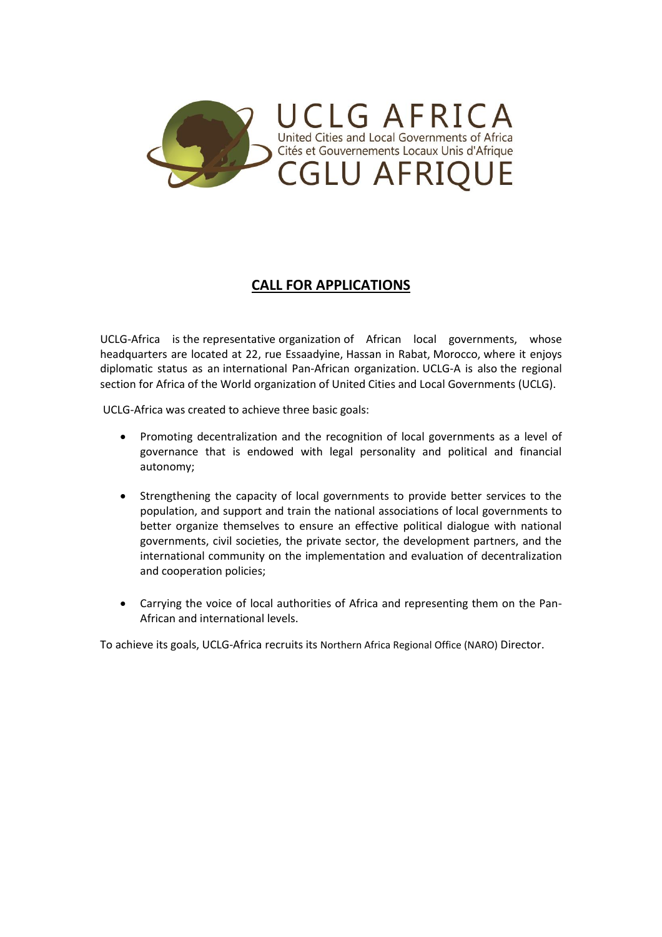

## **CALL FOR APPLICATIONS**

UCLG-Africa is the representative organization of African local governments, whose headquarters are located at 22, rue Essaadyine, Hassan in Rabat, Morocco, where it enjoys diplomatic status as an international Pan-African organization. UCLG-A is also the regional section for Africa of the World organization of United Cities and Local Governments (UCLG).

UCLG-Africa was created to achieve three basic goals:

- Promoting decentralization and the recognition of local governments as a level of governance that is endowed with legal personality and political and financial autonomy;
- Strengthening the capacity of local governments to provide better services to the population, and support and train the national associations of local governments to better organize themselves to ensure an effective political dialogue with national governments, civil societies, the private sector, the development partners, and the international community on the implementation and evaluation of decentralization and cooperation policies;
- Carrying the voice of local authorities of Africa and representing them on the Pan-African and international levels.

To achieve its goals, UCLG-Africa recruits its Northern Africa Regional Office (NARO) Director.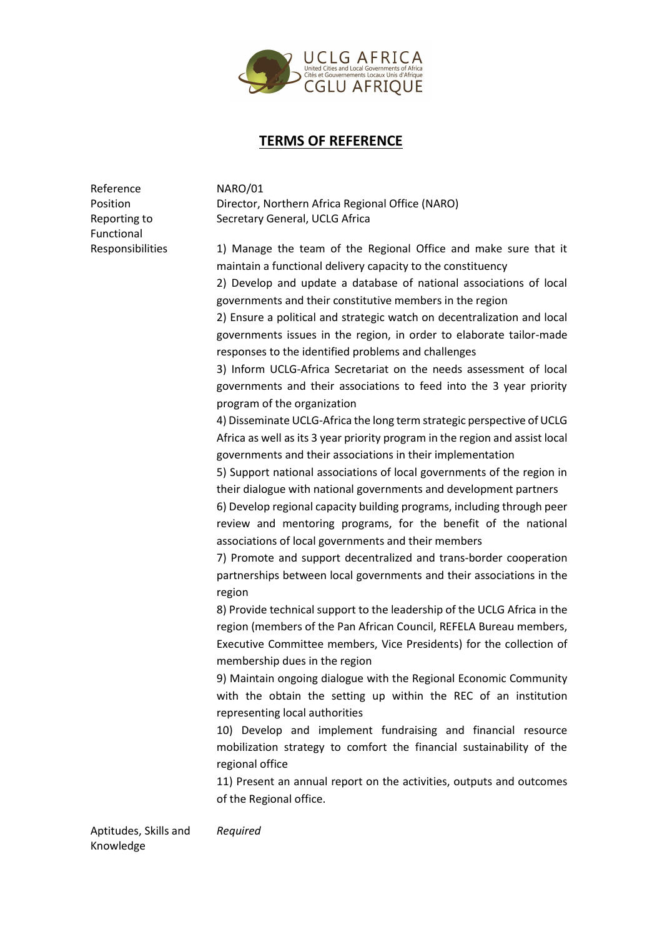

## **TERMS OF REFERENCE**

Reference NARO/01 Functional

Position Director, Northern Africa Regional Office (NARO) Reporting to Secretary General, UCLG Africa

Responsibilities 1) Manage the team of the Regional Office and make sure that it maintain a functional delivery capacity to the constituency

> 2) Develop and update a database of national associations of local governments and their constitutive members in the region

> 2) Ensure a political and strategic watch on decentralization and local governments issues in the region, in order to elaborate tailor-made responses to the identified problems and challenges

> 3) Inform UCLG-Africa Secretariat on the needs assessment of local governments and their associations to feed into the 3 year priority program of the organization

> 4) Disseminate UCLG-Africa the long term strategic perspective of UCLG Africa as well as its 3 year priority program in the region and assist local governments and their associations in their implementation

> 5) Support national associations of local governments of the region in their dialogue with national governments and development partners

> 6) Develop regional capacity building programs, including through peer review and mentoring programs, for the benefit of the national associations of local governments and their members

> 7) Promote and support decentralized and trans-border cooperation partnerships between local governments and their associations in the region

> 8) Provide technical support to the leadership of the UCLG Africa in the region (members of the Pan African Council, REFELA Bureau members, Executive Committee members, Vice Presidents) for the collection of membership dues in the region

> 9) Maintain ongoing dialogue with the Regional Economic Community with the obtain the setting up within the REC of an institution representing local authorities

> 10) Develop and implement fundraising and financial resource mobilization strategy to comfort the financial sustainability of the regional office

> 11) Present an annual report on the activities, outputs and outcomes of the Regional office.

Aptitudes, Skills and Knowledge *Required*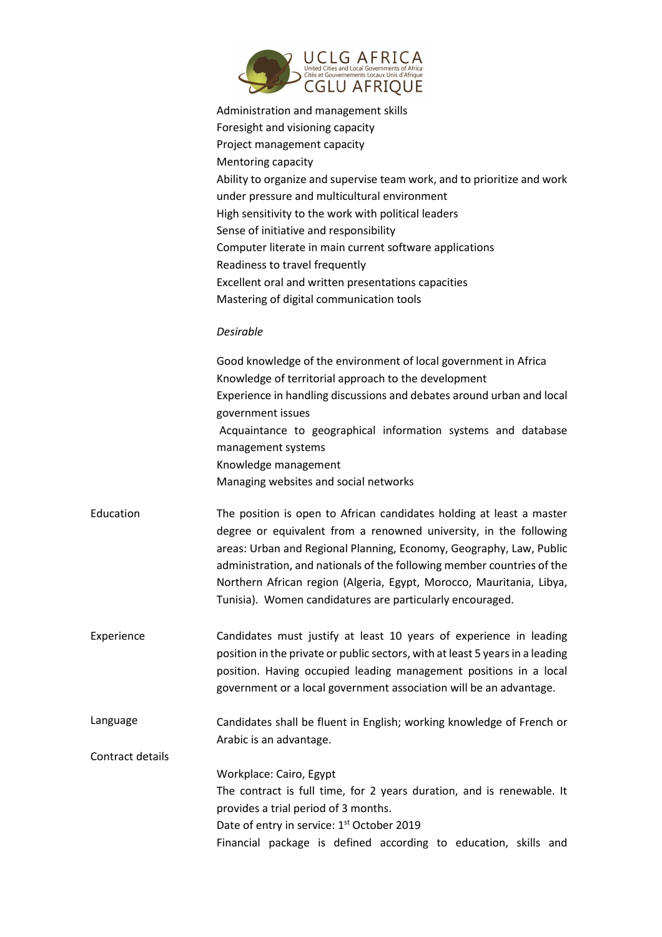

|                  | Administration and management skills<br>Foresight and visioning capacity<br>Project management capacity<br>Mentoring capacity<br>Ability to organize and supervise team work, and to prioritize and work<br>under pressure and multicultural environment<br>High sensitivity to the work with political leaders<br>Sense of initiative and responsibility<br>Computer literate in main current software applications<br>Readiness to travel frequently<br>Excellent oral and written presentations capacities<br>Mastering of digital communication tools |
|------------------|-----------------------------------------------------------------------------------------------------------------------------------------------------------------------------------------------------------------------------------------------------------------------------------------------------------------------------------------------------------------------------------------------------------------------------------------------------------------------------------------------------------------------------------------------------------|
|                  | Desirable                                                                                                                                                                                                                                                                                                                                                                                                                                                                                                                                                 |
|                  | Good knowledge of the environment of local government in Africa<br>Knowledge of territorial approach to the development<br>Experience in handling discussions and debates around urban and local<br>government issues<br>Acquaintance to geographical information systems and database<br>management systems<br>Knowledge management<br>Managing websites and social networks                                                                                                                                                                             |
| Education        | The position is open to African candidates holding at least a master<br>degree or equivalent from a renowned university, in the following<br>areas: Urban and Regional Planning, Economy, Geography, Law, Public<br>administration, and nationals of the following member countries of the<br>Northern African region (Algeria, Egypt, Morocco, Mauritania, Libya,<br>Tunisia). Women candidatures are particularly encouraged.                                                                                                                           |
| Experience       | Candidates must justify at least 10 years of experience in leading<br>position in the private or public sectors, with at least 5 years in a leading<br>position. Having occupied leading management positions in a local<br>government or a local government association will be an advantage.                                                                                                                                                                                                                                                            |
| Language         | Candidates shall be fluent in English; working knowledge of French or<br>Arabic is an advantage.                                                                                                                                                                                                                                                                                                                                                                                                                                                          |
| Contract details |                                                                                                                                                                                                                                                                                                                                                                                                                                                                                                                                                           |
|                  | Workplace: Cairo, Egypt<br>The contract is full time, for 2 years duration, and is renewable. It<br>provides a trial period of 3 months.<br>Date of entry in service: 1 <sup>st</sup> October 2019<br>Financial package is defined according to education, skills and                                                                                                                                                                                                                                                                                     |